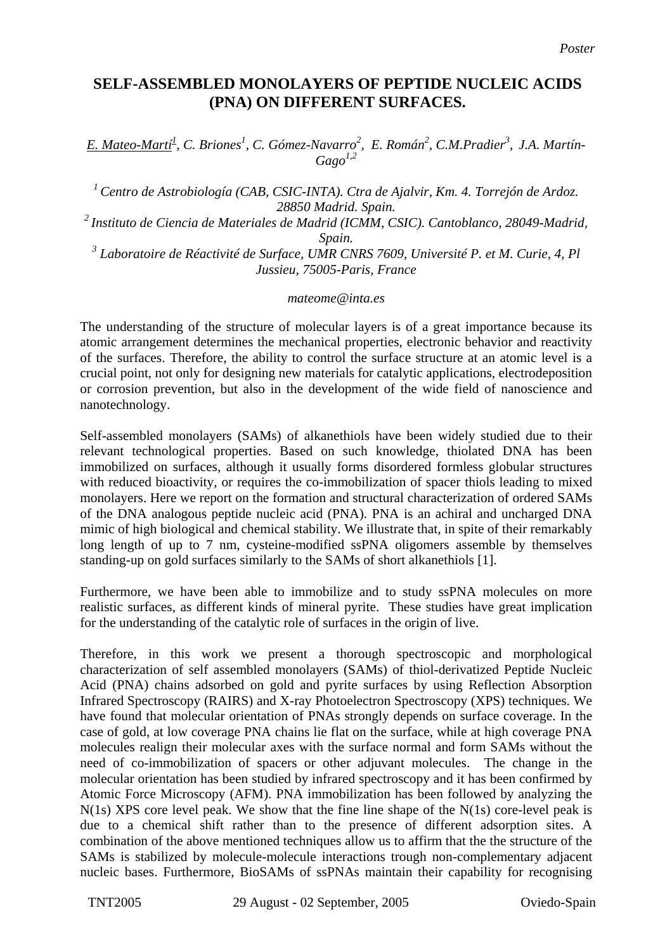## **SELF-ASSEMBLED MONOLAYERS OF PEPTIDE NUCLEIC ACIDS (PNA) ON DIFFERENT SURFACES.**

*E. Mateo-Martí<sup>1</sup> , C. Briones<sup>1</sup> , C. Gómez-Navarro2 , E. Román2 , C.M.Pradier3 , J.A. Martín-Gago1,2*

*1 Centro de Astrobiología (CAB, CSIC-INTA). Ctra de Ajalvir, Km. 4. Torrejón de Ardoz. 28850 Madrid. Spain.* 

*2 Instituto de Ciencia de Materiales de Madrid (ICMM, CSIC). Cantoblanco, 28049-Madrid, Spain.* 

*3 Laboratoire de Réactivité de Surface, UMR CNRS 7609, Université P. et M. Curie, 4, Pl Jussieu, 75005-Paris, France* 

*mateome@inta.es* 

The understanding of the structure of molecular layers is of a great importance because its atomic arrangement determines the mechanical properties, electronic behavior and reactivity of the surfaces. Therefore, the ability to control the surface structure at an atomic level is a crucial point, not only for designing new materials for catalytic applications, electrodeposition or corrosion prevention, but also in the development of the wide field of nanoscience and nanotechnology.

Self-assembled monolayers (SAMs) of alkanethiols have been widely studied due to their relevant technological properties. Based on such knowledge, thiolated DNA has been immobilized on surfaces, although it usually forms disordered formless globular structures with reduced bioactivity, or requires the co-immobilization of spacer thiols leading to mixed monolayers. Here we report on the formation and structural characterization of ordered SAMs of the DNA analogous peptide nucleic acid (PNA). PNA is an achiral and uncharged DNA mimic of high biological and chemical stability. We illustrate that, in spite of their remarkably long length of up to 7 nm, cysteine-modified ssPNA oligomers assemble by themselves standing-up on gold surfaces similarly to the SAMs of short alkanethiols [1].

Furthermore, we have been able to immobilize and to study ssPNA molecules on more realistic surfaces, as different kinds of mineral pyrite. These studies have great implication for the understanding of the catalytic role of surfaces in the origin of live.

Therefore, in this work we present a thorough spectroscopic and morphological characterization of self assembled monolayers (SAMs) of thiol-derivatized Peptide Nucleic Acid (PNA) chains adsorbed on gold and pyrite surfaces by using Reflection Absorption Infrared Spectroscopy (RAIRS) and X-ray Photoelectron Spectroscopy (XPS) techniques. We have found that molecular orientation of PNAs strongly depends on surface coverage. In the case of gold, at low coverage PNA chains lie flat on the surface, while at high coverage PNA molecules realign their molecular axes with the surface normal and form SAMs without the need of co-immobilization of spacers or other adjuvant molecules. The change in the molecular orientation has been studied by infrared spectroscopy and it has been confirmed by Atomic Force Microscopy (AFM). PNA immobilization has been followed by analyzing the N(1s) XPS core level peak. We show that the fine line shape of the N(1s) core-level peak is due to a chemical shift rather than to the presence of different adsorption sites. A combination of the above mentioned techniques allow us to affirm that the the structure of the SAMs is stabilized by molecule-molecule interactions trough non-complementary adjacent nucleic bases. Furthermore, BioSAMs of ssPNAs maintain their capability for recognising